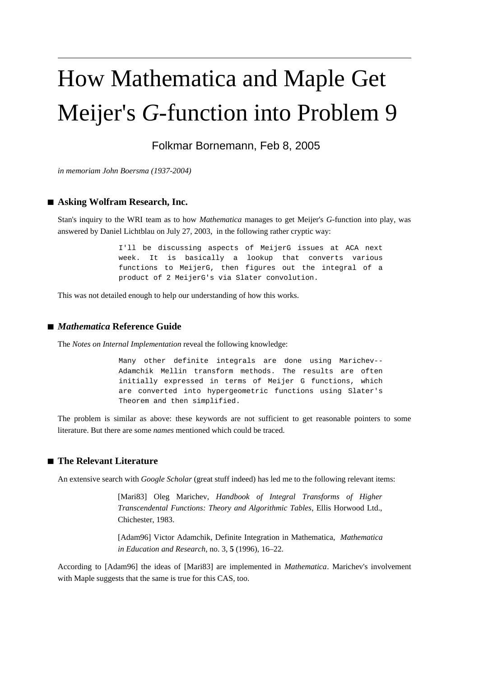# How Mathematica and Maple Get Meijer's *G*-function into Problem 9

Folkmar Bornemann, Feb 8, 2005

*in memoriam John Boersma (1937-2004)*

## ■ **Asking Wolfram Research, Inc.**

Stan's inquiry to the WRI team as to how *Mathematica* manages to get Meijer's *G*-function into play, was answered by Daniel Lichtblau on July 27, 2003, in the following rather cryptic way:

> I'll be discussing aspects of MeijerG issues at ACA next week. It is basically a lookup that converts various functions to MeijerG, then figures out the integral of a product of 2 MeijerG's via Slater convolution.

This was not detailed enough to help our understanding of how this works.

#### **à** *Mathematica* **Reference Guide**

The *Notes on Internal Implementation* reveal the following knowledge:

Many other definite integrals are done using Marichev-- Adamchik Mellin transform methods. The results are often initially expressed in terms of Meijer G functions, which are converted into hypergeometric functions using Slater's Theorem and then simplified.

The problem is similar as above: these keywords are not sufficient to get reasonable pointers to some literature. But there are some *names* mentioned which could be traced.

## **à The Relevant Literature**

An extensive search with *Google Scholar* (great stuff indeed) has led me to the following relevant items:

[Mari83] Oleg Marichev, *Handbook of Integral Transforms of Higher Transcendental Functions: Theory and Algorithmic Tables*, Ellis Horwood Ltd., Chichester, 1983.

[Adam96] Victor Adamchik, Definite Integration in Mathematica, *Mathematica in Education and Research*, no. 3, **5** (1996), 16–22.

According to [Adam96] the ideas of [Mari83] are implemented in *Mathematica*. Marichev's involvement with Maple suggests that the same is true for this CAS, too.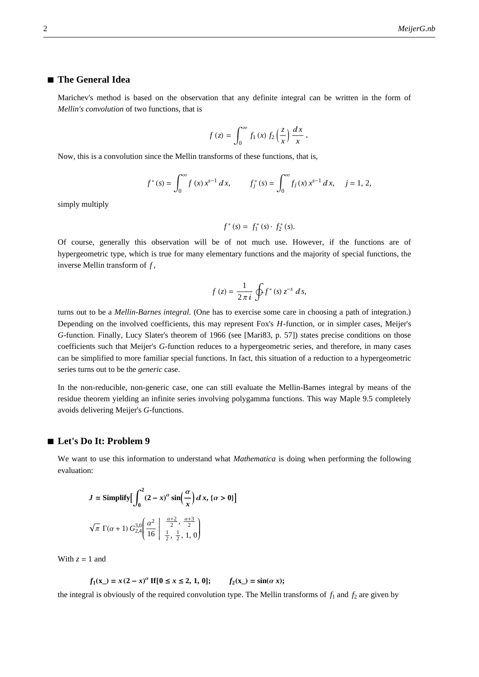### **à The General Idea**

Marichev's method is based on the observation that any definite integral can be written in the form of *Mellin's convolution* of two functions, that is

$$
f(z) = \int_0^\infty f_1(x) f_2\left(\frac{z}{x}\right) \frac{dx}{x}.
$$

Now, this is a convolution since the Mellin transforms of these functions, that is,

$$
f^*(s) = \int_0^\infty f(x) x^{s-1} dx, \qquad f_j^*(s) = \int_0^\infty f_j(x) x^{s-1} dx, \quad j = 1, 2,
$$

simply multiply

$$
f^*(s) = f_1^*(s) \cdot f_2^*(s).
$$

Of course, generally this observation will be of not much use. However, if the functions are of hypergeometric type, which is true for many elementary functions and the majority of special functions, the inverse Mellin transform of *f* ,

$$
f(z) = \frac{1}{2\pi i} \oint f^*(s) z^{-s} ds,
$$

turns out to be a *Mellin-Barnes integral*. (One has to exercise some care in choosing a path of integration.) Depending on the involved coefficients, this may represent Fox's *H*-function, or in simpler cases, Meijer's *G*-function. Finally, Lucy Slater's theorem of 1966 (see [Mari83, p. 57]) states precise conditions on those coefficients such that Meijer's *G*-function reduces to a hypergeometric series, and therefore, in many cases can be simplified to more familiar special functions. In fact, this situation of a reduction to a hypergeometric series turns out to be the *generic* case.

In the non-reducible, non-generic case, one can still evaluate the Mellin-Barnes integral by means of the residue theorem yielding an infinite series involving polygamma functions. This way Maple 9.5 completely avoids delivering Meijer's *G*-functions.

#### **à Let's Do It: Problem 9**

We want to use this information to understand what *Mathematica* is doing when performing the following evaluation:

$$
J = \text{Simplify} \left[ \int_0^2 (2 - x)^{\alpha} \sin\left(\frac{\alpha}{x}\right) dx, \{ \alpha > 0 \} \right]
$$

$$
\sqrt{\pi} \Gamma(\alpha + 1) G_{2,4}^{3,0} \left( \frac{\alpha^2}{16} \left| \frac{\frac{\alpha+2}{2}}{\frac{1}{2}, \frac{1}{2}, 1, 0} \right| \right)
$$

With  $z = 1$  and

$$
f_1(x_) = x (2 - x)^{\alpha}
$$
 If  $[0 \le x \le 2, 1, 0]$ ;  $f_2(x_) = \sin(\alpha x)$ ;

the integral is obviously of the required convolution type. The Mellin transforms of  $f_1$  and  $f_2$  are given by